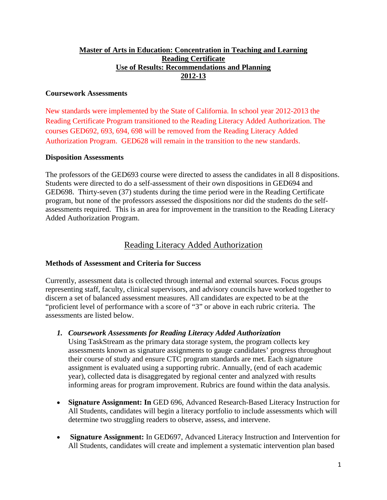## **Master of Arts in Education: Concentration in Teaching and Learning Reading Certificate Use of Results: Recommendations and Planning 2012-13**

### **Coursework Assessments**

New standards were implemented by the State of California. In school year 2012-2013 the Reading Certificate Program transitioned to the Reading Literacy Added Authorization. The courses GED692, 693, 694, 698 will be removed from the Reading Literacy Added Authorization Program. GED628 will remain in the transition to the new standards.

#### **Disposition Assessments**

The professors of the GED693 course were directed to assess the candidates in all 8 dispositions. Students were directed to do a self-assessment of their own dispositions in GED694 and GED698. Thirty-seven (37) students during the time period were in the Reading Certificate program, but none of the professors assessed the dispositions nor did the students do the selfassessments required. This is an area for improvement in the transition to the Reading Literacy Added Authorization Program.

# Reading Literacy Added Authorization

## **Methods of Assessment and Criteria for Success**

Currently, assessment data is collected through internal and external sources. Focus groups representing staff, faculty, clinical supervisors, and advisory councils have worked together to discern a set of balanced assessment measures. All candidates are expected to be at the "proficient level of performance with a score of "3" or above in each rubric criteria. The assessments are listed below.

*1. Coursework Assessments for Reading Literacy Added Authorization* 

Using TaskStream as the primary data storage system, the program collects key assessments known as signature assignments to gauge candidates' progress throughout their course of study and ensure CTC program standards are met. Each signature assignment is evaluated using a supporting rubric. Annually, (end of each academic year), collected data is disaggregated by regional center and analyzed with results informing areas for program improvement. Rubrics are found within the data analysis.

- **Signature Assignment: In** GED 696, Advanced Research-Based Literacy Instruction for All Students, candidates will begin a literacy portfolio to include assessments which will determine two struggling readers to observe, assess, and intervene.
- **Signature Assignment:** In GED697, Advanced Literacy Instruction and Intervention for All Students, candidates will create and implement a systematic intervention plan based